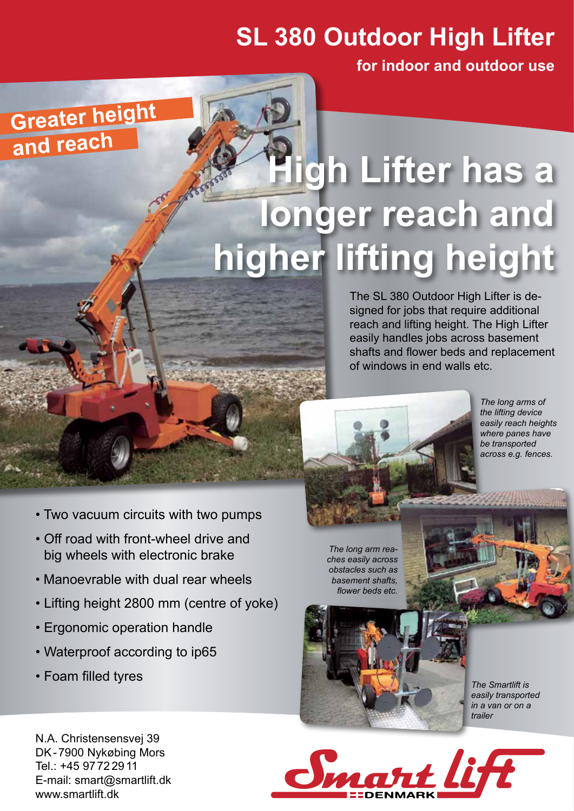## **SL 380 Outdoor High Lifter**

**for indoor and outdoor use**

## **High Lifter has a**  longer reach and **higher lifting height**

The SL 380 Outdoor High Lifter is designed for jobs that require additional reach and lifting height. The High Lifter easily handles jobs across basement shafts and flower beds and replacement of windows in end walls etc.

*The long arms of the lifting device easily reach heights where panes have be transported across e.g. fences.* 

- Two vacuum circuits with two pumps
- Off road with front-wheel drive and big wheels with electronic brake
- Manoevrable with dual rear wheels
- Lifting height 2800 mm (centre of yoke)
- Ergonomic operation handle
- Waterproof according to ip65
- Foam filled tyres

**Greater height** 

**and reac<sup>h</sup>**

*The long arm reaches easily across obstacles such as basement shafts, flower beds etc.*



*The Smartlift is easily transported in a van or on a trailer*

N.A. Christensensvej 39 DK-7900 Nykøbing Mors Tel.: +45 9772 2911 E-mail: smart@smartlift.dk www.smartlift.dk